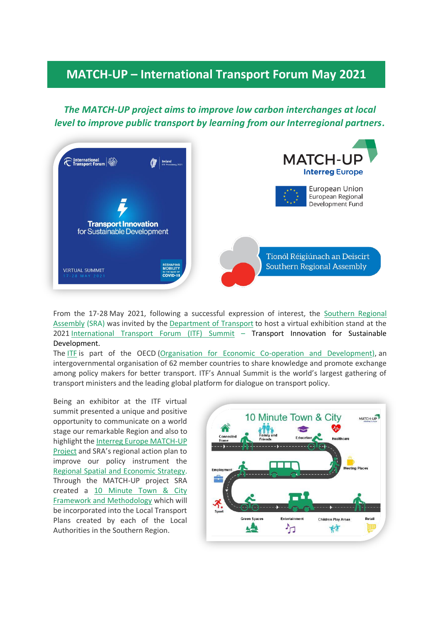## **MATCH-UP – International Transport Forum May 2021**

*The MATCH-UP project aims to improve low carbon interchanges at local level to improve public transport by learning from our Interregional partners.*



From the 17-28 May 2021, following a successful expression of interest, the [Southern Regional](https://www.southernassembly.ie/regional-planning/international-transport-forum-2021)  [Assembly](https://www.southernassembly.ie/regional-planning/international-transport-forum-2021) (SRA) was invited by the [Department of Transport](https://www.gov.ie/en/organisation/department-of-transport/) to host a virtual exhibition stand at the 2021 [International Transport Forum \(ITF\) Summit](https://www.2021.itf-oecd.org/) – Transport Innovation for Sustainable Development.

The [ITF](https://www.2021.itf-oecd.org/) is part of the OECD [\(Organisation for Economic Co-operation and Development\)](https://www.oecd.org/ireland/), an intergovernmental organisation of 62 member countries to share knowledge and promote exchange among policy makers for better transport. ITF's Annual Summit is the world's largest gathering of transport ministers and the leading global platform for dialogue on transport policy.

Being an exhibitor at the ITF virtual summit presented a unique and positive opportunity to communicate on a world stage our remarkable Region and also to highlight th[e Interreg Europe MATCH-UP](https://www.interregeurope.eu/match-up/)  [Project](https://www.interregeurope.eu/match-up/) and SRA's regional action plan to improve our policy instrument the [Regional Spatial and Economic Strategy.](https://www.southernassembly.ie/regional-planning/rses) Through the MATCH-UP project SRA created a [10 Minute Town & City](https://www.southernassembly.ie/regional-planning/rses-implementation/10-minute-towns)  [Framework and](https://www.southernassembly.ie/regional-planning/rses-implementation/10-minute-towns) Methodology which will be incorporated into the Local Transport Plans created by each of the Local Authorities in the Southern Region.